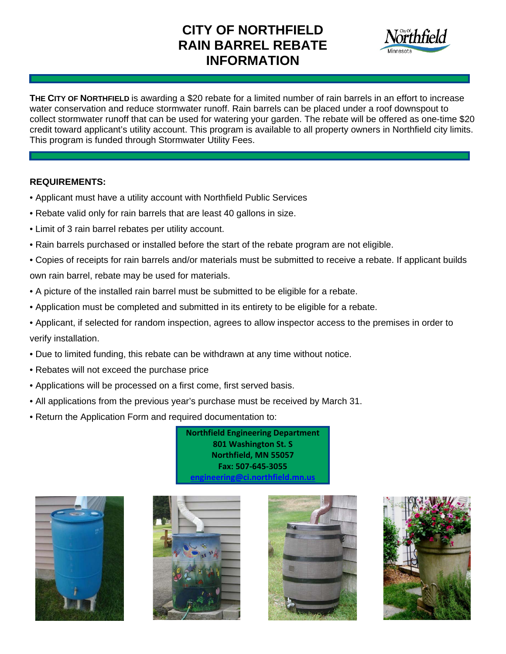## **CITY OF NORTHFIELD RAIN BARREL REBATE INFORMATION**



**THE CITY OF NORTHFIELD** is awarding a \$20 rebate for a limited number of rain barrels in an effort to increase water conservation and reduce stormwater runoff. Rain barrels can be placed under a roof downspout to collect stormwater runoff that can be used for watering your garden. The rebate will be offered as one-time \$20 credit toward applicant's utility account. This program is available to all property owners in Northfield city limits. This program is funded through Stormwater Utility Fees.

## **REQUIREMENTS:**

- Applicant must have a utility account with Northfield Public Services
- Rebate valid only for rain barrels that are least 40 gallons in size.
- Limit of 3 rain barrel rebates per utility account.
- Rain barrels purchased or installed before the start of the rebate program are not eligible.
- Copies of receipts for rain barrels and/or materials must be submitted to receive a rebate. If applicant builds own rain barrel, rebate may be used for materials.
- A picture of the installed rain barrel must be submitted to be eligible for a rebate.
- Application must be completed and submitted in its entirety to be eligible for a rebate.
- Applicant, if selected for random inspection, agrees to allow inspector access to the premises in order to verify installation.
- Due to limited funding, this rebate can be withdrawn at any time without notice.
- Rebates will not exceed the purchase price
- Applications will be processed on a first come, first served basis.
- All applications from the previous year's purchase must be received by March 31.
- Return the Application Form and required documentation to:

**Northfield Engineering Department 801 Washington St. S Northfield, MN 55057 Fax: 507-645-3055 [engineering@ci.northfield.mn.us](mailto:engineering@ci.northfield.mn.us)**